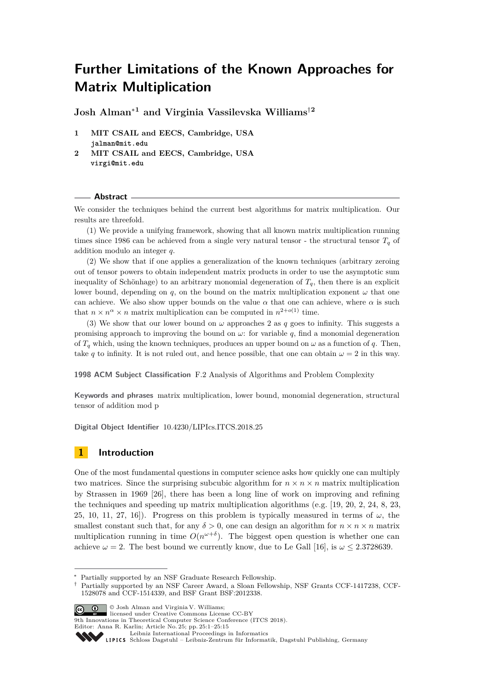# **Further Limitations of the Known Approaches for Matrix Multiplication**

**Josh Alman**<sup>∗</sup>**<sup>1</sup> and Virginia Vassilevska Williams**†**<sup>2</sup>**

- **1 MIT CSAIL and EECS, Cambridge, USA jalman@mit.edu**
- **2 MIT CSAIL and EECS, Cambridge, USA virgi@mit.edu**

#### **Abstract**

We consider the techniques behind the current best algorithms for matrix multiplication. Our results are threefold.

(1) We provide a unifying framework, showing that all known matrix multiplication running times since 1986 can be achieved from a single very natural tensor - the structural tensor  $T_q$  of addition modulo an integer *q*.

(2) We show that if one applies a generalization of the known techniques (arbitrary zeroing out of tensor powers to obtain independent matrix products in order to use the asymptotic sum inequality of Schönhage) to an arbitrary monomial degeneration of  $T_q$ , then there is an explicit lower bound, depending on *q*, on the bound on the matrix multiplication exponent  $\omega$  that one can achieve. We also show upper bounds on the value  $\alpha$  that one can achieve, where  $\alpha$  is such that  $n \times n^{\alpha} \times n$  matrix multiplication can be computed in  $n^{2+o(1)}$  time.

(3) We show that our lower bound on  $\omega$  approaches 2 as *q* goes to infinity. This suggests a promising approach to improving the bound on  $\omega$ : for variable q, find a monomial degeneration of  $T_q$  which, using the known techniques, produces an upper bound on  $\omega$  as a function of  $q$ . Then, take *q* to infinity. It is not ruled out, and hence possible, that one can obtain  $\omega = 2$  in this way.

**1998 ACM Subject Classification** F.2 Analysis of Algorithms and Problem Complexity

**Keywords and phrases** matrix multiplication, lower bound, monomial degeneration, structural tensor of addition mod p

**Digital Object Identifier** [10.4230/LIPIcs.ITCS.2018.25](http://dx.doi.org/10.4230/LIPIcs.ITCS.2018.25)

## **1 Introduction**

One of the most fundamental questions in computer science asks how quickly one can multiply two matrices. Since the surprising subcubic algorithm for  $n \times n \times n$  matrix multiplication by Strassen in 1969 [\[26\]](#page-14-0), there has been a long line of work on improving and refining the techniques and speeding up matrix multiplication algorithms (e.g. [\[19,](#page-13-0) [20,](#page-13-1) [2,](#page-13-2) [24,](#page-14-1) [8,](#page-13-3) [23,](#page-14-2) [25,](#page-14-3) [10,](#page-13-4) [11,](#page-13-5) [27,](#page-14-4) [16\]](#page-13-6)). Progress on this problem is typically measured in terms of  $\omega$ , the smallest constant such that, for any  $\delta > 0$ , one can design an algorithm for  $n \times n \times n$  matrix multiplication running in time  $O(n^{\omega+\delta})$ . The biggest open question is whether one can achieve  $\omega = 2$ . The best bound we currently know, due to Le Gall [\[16\]](#page-13-6), is  $\omega \leq 2.3728639$ .

9th Innovations in Theoretical Computer Science Conference (ITCS 2018). Editor: Anna R. Karlin; Article No. 25; pp. 25:1–25[:15](#page-14-5)

[Leibniz International Proceedings in Informatics](http://www.dagstuhl.de/lipics/)

<sup>∗</sup> Partially supported by an NSF Graduate Research Fellowship.

<sup>†</sup> Partially supported by an NSF Career Award, a Sloan Fellowship, NSF Grants CCF-1417238, CCF-1528078 and CCF-1514339, and BSF Grant BSF:2012338.

<sup>©</sup> Josh Alman and Virginia V. Williams; licensed under Creative Commons License CC-BY

Leibniz International Froceedings in Informatik, Dagstuhl Publishing, Germany<br>LIPICS [Schloss Dagstuhl – Leibniz-Zentrum für Informatik, Dagstuhl Publishing, Germany](http://www.dagstuhl.de)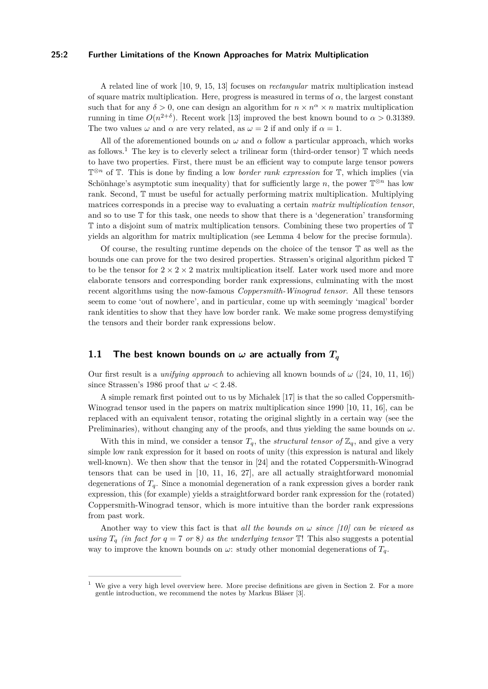#### **25:2 Further Limitations of the Known Approaches for Matrix Multiplication**

A related line of work [\[10,](#page-13-4) [9,](#page-13-7) [15,](#page-13-8) [13\]](#page-13-9) focuses on *rectangular* matrix multiplication instead of square matrix multiplication. Here, progress is measured in terms of  $\alpha$ , the largest constant such that for any  $\delta > 0$ , one can design an algorithm for  $n \times n^{\alpha} \times n$  matrix multiplication running in time  $O(n^{2+\delta})$ . Recent work [\[13\]](#page-13-9) improved the best known bound to  $\alpha > 0.31389$ . The two values  $\omega$  and  $\alpha$  are very related, as  $\omega = 2$  if and only if  $\alpha = 1$ .

All of the aforementioned bounds on  $\omega$  and  $\alpha$  follow a particular approach, which works as follows.<sup>[1](#page-1-0)</sup> The key is to cleverly select a trilinear form (third-order tensor)  $\mathbb T$  which needs to have two properties. First, there must be an efficient way to compute large tensor powers T <sup>⊗</sup>*<sup>n</sup>* of T. This is done by finding a low *border rank expression* for T, which implies (via Schönhage's asymptotic sum inequality) that for sufficiently large  $n$ , the power  $\mathbb{T}^{\otimes n}$  has low rank. Second, T must be useful for actually performing matrix multiplication. Multiplying matrices corresponds in a precise way to evaluating a certain *matrix multiplication tensor*, and so to use  $\mathbb T$  for this task, one needs to show that there is a 'degeneration' transforming T into a disjoint sum of matrix multiplication tensors. Combining these two properties of T yields an algorithm for matrix multiplication (see Lemma [4](#page-7-0) below for the precise formula).

Of course, the resulting runtime depends on the choice of the tensor  $\mathbb T$  as well as the bounds one can prove for the two desired properties. Strassen's original algorithm picked T to be the tensor for  $2 \times 2 \times 2$  matrix multiplication itself. Later work used more and more elaborate tensors and corresponding border rank expressions, culminating with the most recent algorithms using the now-famous *Coppersmith-Winograd tensor*. All these tensors seem to come 'out of nowhere', and in particular, come up with seemingly 'magical' border rank identities to show that they have low border rank. We make some progress demystifying the tensors and their border rank expressions below.

## **1.1 The best known bounds on**  $\omega$  are actually from  $T_q$

Our first result is a *unifying approach* to achieving all known bounds of  $\omega$  ([\[24,](#page-14-1) [10,](#page-13-4) [11,](#page-13-5) [16\]](#page-13-6)) since Strassen's 1986 proof that  $\omega < 2.48$ .

A simple remark first pointed out to us by Michalek [\[17\]](#page-13-10) is that the so called Coppersmith-Winograd tensor used in the papers on matrix multiplication since 1990 [\[10,](#page-13-4) [11,](#page-13-5) [16\]](#page-13-6), can be replaced with an equivalent tensor, rotating the original slightly in a certain way (see the Preliminaries), without changing any of the proofs, and thus yielding the same bounds on  $\omega$ .

With this in mind, we consider a tensor  $T_q$ , the *structural tensor of*  $\mathbb{Z}_q$ , and give a very simple low rank expression for it based on roots of unity (this expression is natural and likely well-known). We then show that the tensor in [\[24\]](#page-14-1) and the rotated Coppersmith-Winograd tensors that can be used in [\[10,](#page-13-4) [11,](#page-13-5) [16,](#page-13-6) [27\]](#page-14-4), are all actually straightforward monomial degenerations of  $T_q$ . Since a monomial degeneration of a rank expression gives a border rank expression, this (for example) yields a straightforward border rank expression for the (rotated) Coppersmith-Winograd tensor, which is more intuitive than the border rank expressions from past work.

Another way to view this fact is that *all the bounds on*  $\omega$  *since* [\[10\]](#page-13-4) can be viewed as *using*  $T_q$  *(in fact for q = 7 or 8) as the underlying tensor*  $\mathbb{T}$ ! This also suggests a potential way to improve the known bounds on  $\omega$ : study other monomial degenerations of  $T_q$ .

<span id="page-1-0"></span><sup>1</sup> We give a very high level overview here. More precise definitions are given in Section [2.](#page-5-0) For a more gentle introduction, we recommend the notes by Markus Bläser [\[3\]](#page-13-11).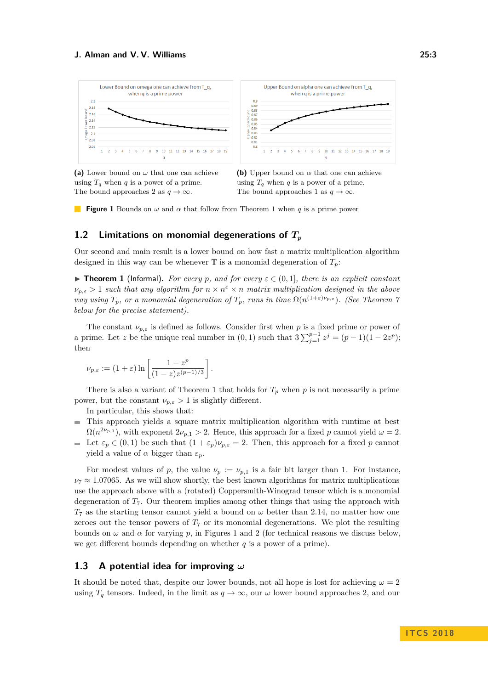<span id="page-2-1"></span>

**(a)** Lower bound on *ω* that one can achieve using  $T_q$  when  $q$  is a power of a prime. The bound approaches 2 as  $q \to \infty$ .



**Figure [1](#page-2-0)** Bounds on  $\omega$  and  $\alpha$  that follow from Theorem 1 when *q* is a prime power

## **1.2 Limitations on monomial degenerations of** *T<sup>p</sup>*

Our second and main result is a lower bound on how fast a matrix multiplication algorithm designed in this way can be whenever  $\mathbb T$  is a monomial degeneration of  $T_p$ :

<span id="page-2-0"></span>**Figure 1** (Informal). For every p, and for every  $\varepsilon \in (0,1]$ , there is an explicit constant  $\nu_{p,\varepsilon}$  > 1 *such that any algorithm for*  $n \times n^{\varepsilon} \times n$  *matrix multiplication designed in the above way using*  $T_p$ *, or a monomial degeneration of*  $T_p$ *, runs in time*  $\Omega(n^{(1+\epsilon)\nu_{p,\epsilon}})$ *. (See Theorem [7](#page-12-0) below for the precise statement).*

The constant  $\nu_{p,\varepsilon}$  is defined as follows. Consider first when p is a fixed prime or power of a prime. Let *z* be the unique real number in  $(0,1)$  such that  $3\sum_{j=1}^{p-1} z^j = (p-1)(1-2z^p)$ ; then

$$
\nu_{p,\varepsilon} := (1+\varepsilon) \ln \left[ \frac{1-z^p}{(1-z)z^{(p-1)/3}} \right].
$$

There is also a variant of Theorem [1](#page-2-0) that holds for  $T_p$  when p is not necessarily a prime power, but the constant  $\nu_{p,\varepsilon} > 1$  is slightly different.

In particular, this shows that:

- This approach yields a square matrix multiplication algorithm with runtime at best  $\Omega(n^{2\nu_{p,1}})$ , with exponent  $2\nu_{p,1} > 2$ . Hence, this approach for a fixed *p* cannot yield  $\omega = 2$ .
- Let  $\varepsilon_p \in (0,1)$  be such that  $(1+\varepsilon_p)\nu_{p,\varepsilon} = 2$ . Then, this approach for a fixed *p* cannot yield a value of  $\alpha$  bigger than  $\varepsilon_p$ .

For modest values of p, the value  $\nu_p := \nu_{p,1}$  is a fair bit larger than 1. For instance,  $\nu$ <sub>7</sub>  $\approx$  1.07065. As we will show shortly, the best known algorithms for matrix multiplications use the approach above with a (rotated) Coppersmith-Winograd tensor which is a monomial degeneration of  $T_7$ . Our theorem implies among other things that using the approach with  $T_7$  as the starting tensor cannot yield a bound on  $\omega$  better than 2.14, no matter how one zeroes out the tensor powers of  $T_7$  or its monomial degenerations. We plot the resulting bounds on  $\omega$  and  $\alpha$  for varying  $p$ , in Figures [1](#page-2-1) and [2](#page-3-0) (for technical reasons we discuss below, we get different bounds depending on whether *q* is a power of a prime).

## **1.3 A potential idea for improving** *ω*

It should be noted that, despite our lower bounds, not all hope is lost for achieving  $\omega = 2$ using  $T_q$  tensors. Indeed, in the limit as  $q \to \infty$ , our  $\omega$  lower bound approaches 2, and our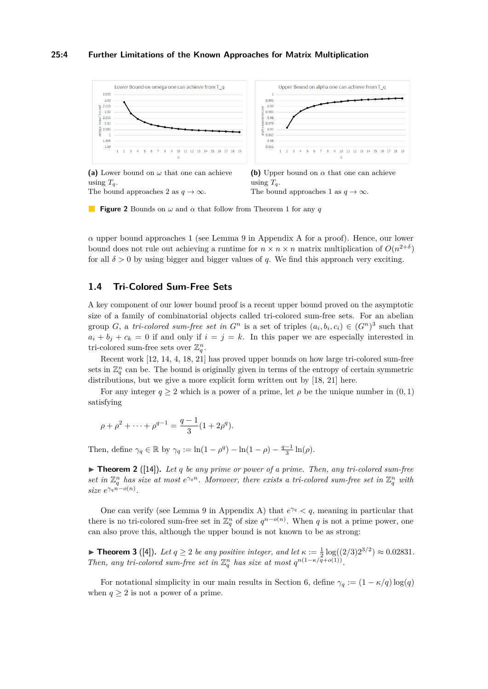#### **25:4 Further Limitations of the Known Approaches for Matrix Multiplication**

<span id="page-3-0"></span>

**(a)** Lower bound on *ω* that one can achieve using  $T_q$ . The bound approaches 2 as  $q \to \infty$ .

**(b)** Upper bound on *α* that one can achieve using  $T_a$ . The bound approaches 1 as  $q \to \infty$ .

**Figure 2** Bounds on *ω* and *α* that follow from Theorem [1](#page-2-0) for any *q*

 $\alpha$  upper bound approaches 1 (see Lemma [9](#page-14-6) in [A](#page-14-7)ppendix A for a proof). Hence, our lower bound does not rule out achieving a runtime for  $n \times n \times n$  matrix multiplication of  $O(n^{2+\delta})$ for all  $\delta > 0$  by using bigger and bigger values of q. We find this approach very exciting.

## <span id="page-3-1"></span>**1.4 Tri-Colored Sum-Free Sets**

A key component of our lower bound proof is a recent upper bound proved on the asymptotic size of a family of combinatorial objects called tri-colored sum-free sets. For an abelian group *G*, a *tri-colored sum-free set in*  $G<sup>n</sup>$  is a set of triples  $(a<sub>i</sub>, b<sub>i</sub>, c<sub>i</sub>) \in (G<sup>n</sup>)<sup>3</sup>$  such that  $a_i + b_j + c_k = 0$  if and only if  $i = j = k$ . In this paper we are especially interested in tri-colored sum-free sets over  $\mathbb{Z}_q^n$ .

Recent work [\[12,](#page-13-12) [14,](#page-13-13) [4,](#page-13-14) [18,](#page-13-15) [21\]](#page-13-16) has proved upper bounds on how large tri-colored sum-free sets in  $\mathbb{Z}_q^n$  can be. The bound is originally given in terms of the entropy of certain symmetric distributions, but we give a more explicit form written out by [\[18,](#page-13-15) [21\]](#page-13-16) here.

For any integer  $q \ge 2$  which is a power of a prime, let  $\rho$  be the unique number in  $(0,1)$ satisfying

$$
\rho + \rho^2 + \dots + \rho^{q-1} = \frac{q-1}{3} (1 + 2\rho^q).
$$

Then, define  $\gamma_q \in \mathbb{R}$  by  $\gamma_q := \ln(1 - \rho^q) - \ln(1 - \rho) - \frac{q-1}{3} \ln(\rho)$ .

▶ **Theorem 2** ([\[14\]](#page-13-13)). Let *q* be any prime or power of a prime. Then, any tri-colored sum-free *set in*  $\mathbb{Z}_q^n$  *has size at most*  $e^{\gamma_q n}$ *. Moreover, there exists a tri-colored sum-free set in*  $\mathbb{Z}_q^n$  *with size*  $e^{\gamma_q n - o(n)}$ .

One can verify (see Lemma [9](#page-14-6) in Appendix [A\)](#page-14-7) that  $e^{\gamma_q} < q$ , meaning in particular that there is no tri-colored sum-free set in  $\mathbb{Z}_q^n$  of size  $q^{n-o(n)}$ . When *q* is not a prime power, one can also prove this, although the upper bound is not known to be as strong:

**► Theorem 3** ([\[4\]](#page-13-14)). Let  $q \ge 2$  be any positive integer, and let  $\kappa := \frac{1}{2} \log((2/3)2^{3/2}) \approx 0.02831$ . *Then, any tri-colored sum-free set in*  $\mathbb{Z}_q^n$  *has size at most*  $q^{n(1-\kappa/\bar{q}+o(1))}$ .

For notational simplicity in our main results in Section [6,](#page-12-1) define  $\gamma_q := (1 - \kappa/q) \log(q)$ when  $q \geq 2$  is not a power of a prime.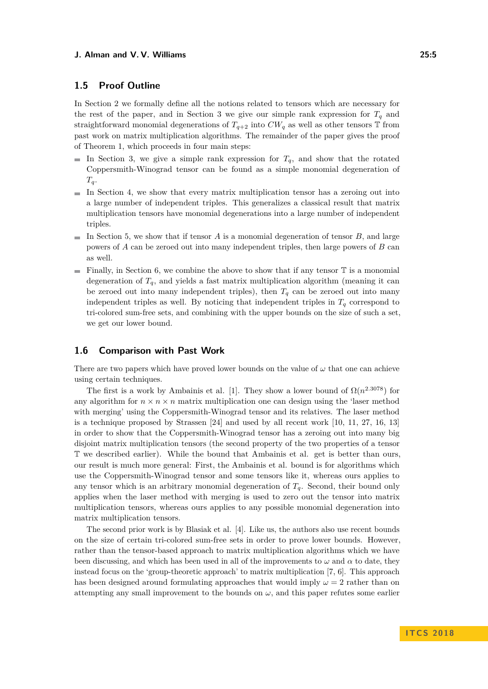## **1.5 Proof Outline**

In Section [2](#page-5-0) we formally define all the notions related to tensors which are necessary for the rest of the paper, and in Section [3](#page-7-1) we give our simple rank expression for  $T_q$  and straightforward monomial degenerations of  $T_{q+2}$  into  $CW_q$  as well as other tensors  $\mathbb T$  from past work on matrix multiplication algorithms. The remainder of the paper gives the proof of Theorem [1,](#page-2-0) which proceeds in four main steps:

- In Section [3,](#page-7-1) we give a simple rank expression for  $T_q$ , and show that the rotated Coppersmith-Winograd tensor can be found as a simple monomial degeneration of  $T_q$ .
- $\blacksquare$  In Section [4,](#page-9-0) we show that every matrix multiplication tensor has a zeroing out into a large number of independent triples. This generalizes a classical result that matrix multiplication tensors have monomial degenerations into a large number of independent triples.
- In Section [5,](#page-11-0) we show that if tensor *A* is a monomial degeneration of tensor *B*, and large  $\blacksquare$ powers of *A* can be zeroed out into many independent triples, then large powers of *B* can as well.
- $\blacksquare$  Finally, in Section [6,](#page-12-1) we combine the above to show that if any tensor  $\mathbb T$  is a monomial degeneration of  $T_q$ , and yields a fast matrix multiplication algorithm (meaning it can be zeroed out into many independent triples), then  $T_q$  can be zeroed out into many independent triples as well. By noticing that independent triples in  $T_q$  correspond to tri-colored sum-free sets, and combining with the upper bounds on the size of such a set, we get our lower bound.

## **1.6 Comparison with Past Work**

There are two papers which have proved lower bounds on the value of  $\omega$  that one can achieve using certain techniques.

The first is a work by Ambainis et al. [\[1\]](#page-13-17). They show a lower bound of  $\Omega(n^{2.3078})$  for any algorithm for  $n \times n \times n$  matrix multiplication one can design using the 'laser method with merging' using the Coppersmith-Winograd tensor and its relatives. The laser method is a technique proposed by Strassen [\[24\]](#page-14-1) and used by all recent work [\[10,](#page-13-4) [11,](#page-13-5) [27,](#page-14-4) [16,](#page-13-6) [13\]](#page-13-9) in order to show that the Coppersmith-Winograd tensor has a zeroing out into many big disjoint matrix multiplication tensors (the second property of the two properties of a tensor T we described earlier). While the bound that Ambainis et al. get is better than ours, our result is much more general: First, the Ambainis et al. bound is for algorithms which use the Coppersmith-Winograd tensor and some tensors like it, whereas ours applies to any tensor which is an arbitrary monomial degeneration of *Tq*. Second, their bound only applies when the laser method with merging is used to zero out the tensor into matrix multiplication tensors, whereas ours applies to any possible monomial degeneration into matrix multiplication tensors.

The second prior work is by Blasiak et al. [\[4\]](#page-13-14). Like us, the authors also use recent bounds on the size of certain tri-colored sum-free sets in order to prove lower bounds. However, rather than the tensor-based approach to matrix multiplication algorithms which we have been discussing, and which has been used in all of the improvements to  $\omega$  and  $\alpha$  to date, they instead focus on the 'group-theoretic approach' to matrix multiplication [\[7,](#page-13-18) [6\]](#page-13-19). This approach has been designed around formulating approaches that would imply  $\omega = 2$  rather than on attempting any small improvement to the bounds on  $\omega$ , and this paper refutes some earlier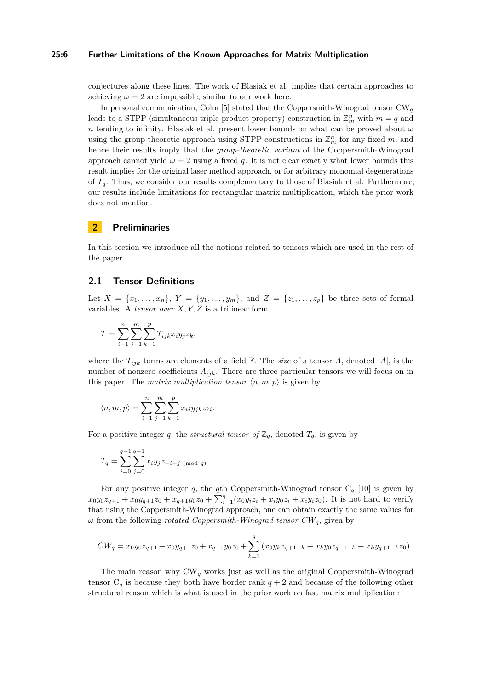#### **25:6 Further Limitations of the Known Approaches for Matrix Multiplication**

conjectures along these lines. The work of Blasiak et al. implies that certain approaches to achieving  $\omega = 2$  are impossible, similar to our work here.

In personal communication, Cohn [\[5\]](#page-13-20) stated that the Coppersmith-Winograd tensor CW*<sup>q</sup>* leads to a STPP (simultaneous triple product property) construction in  $\mathbb{Z}_m^n$  with  $m = q$  and *n* tending to infinity. Blasiak et al. present lower bounds on what can be proved about *ω* using the group theoretic approach using STPP constructions in  $\mathbb{Z}_m^n$  for any fixed  $m$ , and hence their results imply that the *group-theoretic variant* of the Coppersmith-Winograd approach cannot yield  $\omega = 2$  using a fixed q. It is not clear exactly what lower bounds this result implies for the original laser method approach, or for arbitrary monomial degenerations of *Tq*. Thus, we consider our results complementary to those of Blasiak et al. Furthermore, our results include limitations for rectangular matrix multiplication, which the prior work does not mention.

## <span id="page-5-0"></span>**2 Preliminaries**

In this section we introduce all the notions related to tensors which are used in the rest of the paper.

## **2.1 Tensor Definitions**

Let  $X = \{x_1, \ldots, x_n\}, Y = \{y_1, \ldots, y_m\}, \text{ and } Z = \{z_1, \ldots, z_p\} \text{ be three sets of formal }$ variables. A *tensor over X, Y, Z* is a trilinear form

$$
T = \sum_{i=1}^{n} \sum_{j=1}^{m} \sum_{k=1}^{p} T_{ijk} x_i y_j z_k,
$$

where the  $T_{ijk}$  terms are elements of a field  $\mathbb{F}$ . The *size* of a tensor *A*, denoted |*A*|, is the number of nonzero coefficients *Aijk*. There are three particular tensors we will focus on in this paper. The *matrix multiplication tensor*  $\langle n, m, p \rangle$  is given by

$$
\langle n, m, p \rangle = \sum_{i=1}^{n} \sum_{j=1}^{m} \sum_{k=1}^{p} x_{ij} y_{jk} z_{ki}.
$$

For a positive integer *q*, the *structural tensor of*  $\mathbb{Z}_q$ , denoted  $T_q$ , is given by

*.*

$$
T_q = \sum_{i=0}^{q-1} \sum_{j=0}^{q-1} x_i y_j z_{-i-j \pmod{q}}
$$

For any positive integer *q*, the *q*th Coppersmith-Winograd tensor  $C_q$  [\[10\]](#page-13-4) is given by  $x_0y_0z_{q+1} + x_0y_{q+1}z_0 + x_{q+1}y_0z_0 + \sum_{i=1}^q (x_0y_iz_i + x_iy_0z_i + x_iy_iz_0)$ . It is not hard to verify that using the Coppersmith-Winograd approach, one can obtain exactly the same values for *ω* from the following *rotated Coppersmith-Winograd tensor CWq*, given by

$$
CW_q = x_0 y_0 z_{q+1} + x_0 y_{q+1} z_0 + x_{q+1} y_0 z_0 + \sum_{k=1}^q (x_0 y_k z_{q+1-k} + x_k y_0 z_{q+1-k} + x_k y_{q+1-k} z_0).
$$

The main reason why  $CW_q$  works just as well as the original Coppersmith-Winograd tensor  $C_q$  is because they both have border rank  $q + 2$  and because of the following other structural reason which is what is used in the prior work on fast matrix multiplication: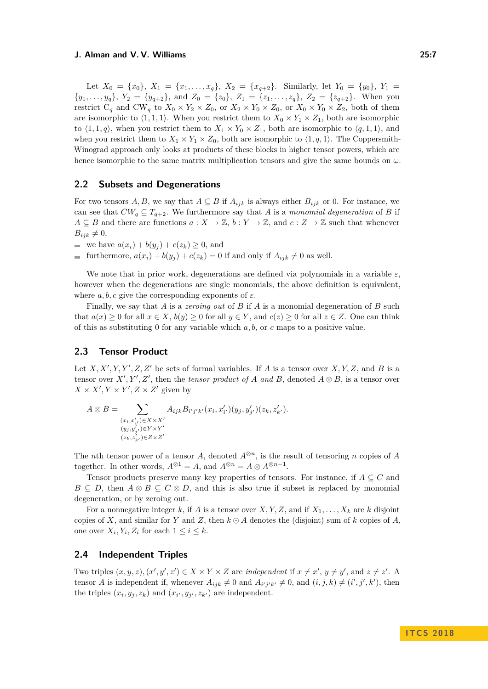Let  $X_0 = \{x_0\}, X_1 = \{x_1, \ldots, x_q\}, X_2 = \{x_{q+2}\}.$  Similarly, let  $Y_0 = \{y_0\}, Y_1 =$  $\{y_1, \ldots, y_q\}, Y_2 = \{y_{q+2}\}, \text{ and } Z_0 = \{z_0\}, Z_1 = \{z_1, \ldots, z_q\}, Z_2 = \{z_{q+2}\}.$  When you restrict  $C_q$  and  $CW_q$  to  $X_0 \times Y_2 \times Z_0$ , or  $X_2 \times Y_0 \times Z_0$ , or  $X_0 \times Y_0 \times Z_2$ , both of them are isomorphic to  $\langle 1, 1, 1 \rangle$ . When you restrict them to  $X_0 \times Y_1 \times Z_1$ , both are isomorphic to  $\langle 1, 1, q \rangle$ , when you restrict them to  $X_1 \times Y_0 \times Z_1$ , both are isomorphic to  $\langle q, 1, 1 \rangle$ , and when you restrict them to  $X_1 \times Y_1 \times Z_0$ , both are isomorphic to  $\langle 1, q, 1 \rangle$ . The Coppersmith-Winograd approach only looks at products of these blocks in higher tensor powers, which are hence isomorphic to the same matrix multiplication tensors and give the same bounds on *ω*.

#### **2.2 Subsets and Degenerations**

For two tensors *A, B,* we say that  $A \subseteq B$  if  $A_{ijk}$  is always either  $B_{ijk}$  or 0. For instance, we can see that  $CW_q \subseteq T_{q+2}$ . We furthermore say that *A* is a *monomial degeneration* of *B* if  $A \subseteq B$  and there are functions  $a: X \to \mathbb{Z}$ ,  $b: Y \to \mathbb{Z}$ , and  $c: Z \to \mathbb{Z}$  such that whenever  $B_{ijk} \neq 0$ ,

we have  $a(x_i) + b(y_i) + c(z_k) \geq 0$ , and

furthermore,  $a(x_i) + b(y_i) + c(z_k) = 0$  if and only if  $A_{ijk} \neq 0$  as well.

We note that in prior work, degenerations are defined via polynomials in a variable  $\varepsilon$ , however when the degenerations are single monomials, the above definition is equivalent. where  $a, b, c$  give the corresponding exponents of  $\varepsilon$ .

Finally, we say that *A* is a *zeroing out* of *B* if *A* is a monomial degeneration of *B* such that  $a(x) \ge 0$  for all  $x \in X$ ,  $b(y) \ge 0$  for all  $y \in Y$ , and  $c(z) \ge 0$  for all  $z \in Z$ . One can think of this as substituting 0 for any variable which *a, b*, or *c* maps to a positive value.

#### **2.3 Tensor Product**

Let  $X, X', Y, Y', Z, Z'$  be sets of formal variables. If *A* is a tensor over  $X, Y, Z$ , and *B* is a tensor over  $X', Y', Z'$ , then the *tensor product of A* and *B*, denoted  $A \otimes B$ , is a tensor over  $X \times X'$ ,  $Y \times Y'$ ,  $Z \times Z'$  given by

$$
A \otimes B = \sum_{\substack{(x_i, x'_{i'}) \in X \times X' \\ (y_j, y'_{j'}) \in Y \times Y' \\ (z_k, z'_{k'}) \in Z \times Z'}} A_{ijk} B_{i'j'k'}(x_i, x'_{i'}) (y_j, y'_{j'}) (z_k, z'_{k'}).
$$

The *n*th tensor power of a tensor *A*, denoted  $A^{\otimes n}$ , is the result of tensoring *n* copies of *A* together. In other words,  $A^{\otimes 1} = A$ , and  $A^{\otimes n} = A \otimes A^{\otimes n-1}$ .

Tensor products preserve many key properties of tensors. For instance, if  $A \subseteq C$  and  $B \subseteq D$ , then  $A \otimes B \subseteq C \otimes D$ , and this is also true if subset is replaced by monomial degeneration, or by zeroing out.

For a nonnegative integer *k*, if *A* is a tensor over *X,Y,Z*, and if  $X_1, \ldots, X_k$  are *k* disjoint copies of *X*, and similar for *Y* and *Z*, then  $k \odot A$  denotes the (disjoint) sum of *k* copies of *A*. one over  $X_i, Y_i, Z_i$  for each  $1 \leq i \leq k$ .

#### **2.4 Independent Triples**

Two triples  $(x, y, z), (x', y', z') \in X \times Y \times Z$  are *independent* if  $x \neq x', y \neq y'$ , and  $z \neq z'$ . A tensor *A* is independent if, whenever  $A_{ijk} \neq 0$  and  $A_{i'j'k'} \neq 0$ , and  $(i, j, k) \neq (i', j', k')$ , then the triples  $(x_i, y_j, z_k)$  and  $(x_{i'}, y_{j'}, z_{k'})$  are independent.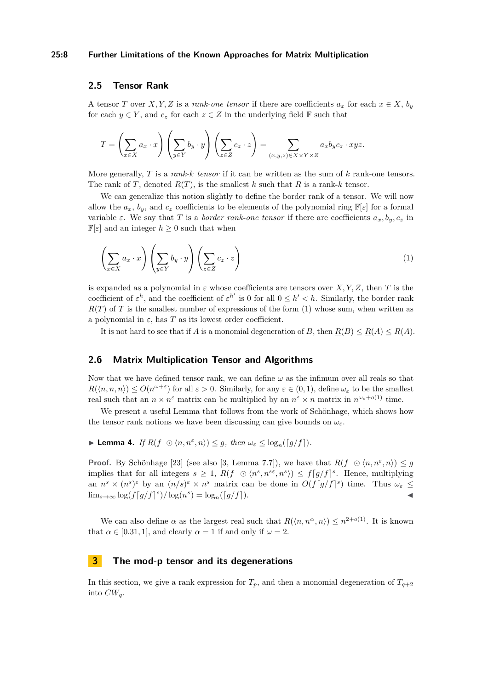#### **25:8 Further Limitations of the Known Approaches for Matrix Multiplication**

## **2.5 Tensor Rank**

A tensor *T* over *X, Y, Z* is a *rank-one tensor* if there are coefficients  $a_x$  for each  $x \in X$ ,  $b_y$ for each  $y \in Y$ , and  $c_z$  for each  $z \in Z$  in the underlying field **F** such that

$$
T = \left(\sum_{x \in X} a_x \cdot x\right) \left(\sum_{y \in Y} b_y \cdot y\right) \left(\sum_{z \in Z} c_z \cdot z\right) = \sum_{(x,y,z) \in X \times Y \times Z} a_x b_y c_z \cdot xyz.
$$

More generally, *T* is a *rank-k tensor* if it can be written as the sum of *k* rank-one tensors. The rank of *T*, denoted  $R(T)$ , is the smallest *k* such that *R* is a rank-*k* tensor.

We can generalize this notion slightly to define the border rank of a tensor. We will now allow the  $a_x$ ,  $b_y$ , and  $c_z$  coefficients to be elements of the polynomial ring  $\mathbb{F}[\varepsilon]$  for a formal variable  $\varepsilon$ . We say that *T* is a *border rank-one tensor* if there are coefficients  $a_x, b_y, c_z$  in  $\mathbb{F}[\varepsilon]$  and an integer  $h \geq 0$  such that when

<span id="page-7-2"></span>
$$
\left(\sum_{x \in X} a_x \cdot x\right) \left(\sum_{y \in Y} b_y \cdot y\right) \left(\sum_{z \in Z} c_z \cdot z\right) \tag{1}
$$

is expanded as a polynomial in  $\varepsilon$  whose coefficients are tensors over *X,Y,Z,* then *T* is the coefficient of  $\varepsilon^h$ , and the coefficient of  $\varepsilon^{h'}$  is 0 for all  $0 \leq h' < h$ . Similarly, the border rank  $R(T)$  of *T* is the smallest number of expressions of the form [\(1\)](#page-7-2) whose sum, when written as a polynomial in  $\varepsilon$ , has  $T$  as its lowest order coefficient.

It is not hard to see that if *A* is a monomial degeneration of *B*, then  $R(B) \leq R(A) \leq R(A)$ .

#### **2.6 Matrix Multiplication Tensor and Algorithms**

Now that we have defined tensor rank, we can define  $\omega$  as the infimum over all reals so that  $R(\langle n, n, n \rangle) \leq O(n^{\omega + \varepsilon})$  for all  $\varepsilon > 0$ . Similarly, for any  $\varepsilon \in (0, 1)$ , define  $\omega_{\varepsilon}$  to be the smallest real such that an  $n \times n^{\varepsilon}$  matrix can be multiplied by an  $n^{\varepsilon} \times n$  matrix in  $n^{\omega_{\varepsilon}+o(1)}$  time.

We present a useful Lemma that follows from the work of Schönhage, which shows how the tensor rank notions we have been discussing can give bounds on  $\omega_{\varepsilon}$ .

<span id="page-7-0"></span>**Example 4.** *If*  $R(f \odot \langle n, n^{\varepsilon}, n \rangle) \leq g$ , then  $\omega_{\varepsilon} \leq \log_n(\lceil g/f \rceil)$ .

**Proof.** By Schönhage [\[23\]](#page-14-2) (see also [\[3,](#page-13-11) Lemma 7.7]), we have that  $R(f \circ \langle n, n^{\varepsilon}, n \rangle) \leq g$ implies that for all integers  $s \geq 1$ ,  $R(f \odot \langle n^s, n^{s\epsilon}, n^s \rangle) \leq f[g/f]^s$ . Hence, multiplying an  $n^s \times (n^s)^\varepsilon$  by an  $(n/s)^\varepsilon \times n^s$  matrix can be done in  $O(f[g/f]^s)$  time. Thus  $\omega_\varepsilon$  $\lim_{s \to \infty} \log(f[g/f]^s) / \log(n^s) = \log_n([g/f]).$  **←** 

We can also define  $\alpha$  as the largest real such that  $R(\langle n,n^{\alpha},n\rangle) \leq n^{2+o(1)}$ . It is known that  $\alpha \in [0.31, 1]$ , and clearly  $\alpha = 1$  if and only if  $\omega = 2$ .

## <span id="page-7-1"></span>**3 The mod-p tensor and its degenerations**

In this section, we give a rank expression for  $T_p$ , and then a monomial degeneration of  $T_{q+2}$ into *CWq*.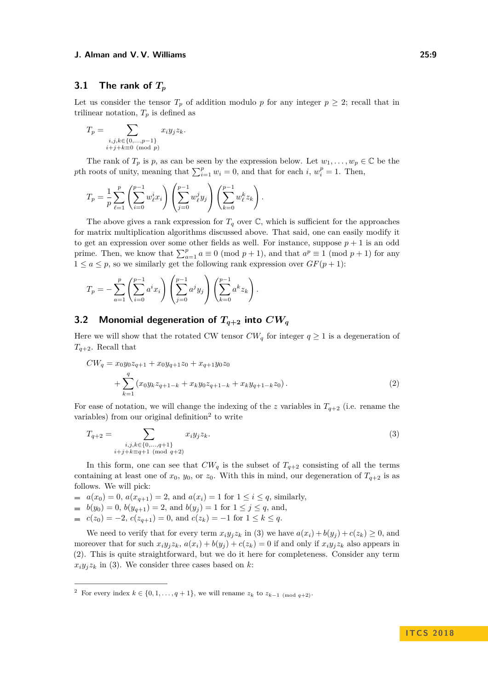## **3.1 The rank of** *T<sup>p</sup>*

Let us consider the tensor  $T_p$  of addition modulo p for any integer  $p \geq 2$ ; recall that in trilinear notation,  $T_p$  is defined as

$$
T_p = \sum_{\substack{i,j,k \in \{0,\dots,p-1\} \\ i+j+k \equiv 0 \pmod{p}}} x_i y_j z_k.
$$

The rank of  $T_p$  is p, as can be seen by the expression below. Let  $w_1, \ldots, w_p \in \mathbb{C}$  be the *p*th roots of unity, meaning that  $\sum_{i=1}^{p} w_i = 0$ , and that for each *i*,  $w_i^p = 1$ . Then,

$$
T_p = \frac{1}{p} \sum_{\ell=1}^p \left( \sum_{i=0}^{p-1} w_{\ell}^i x_i \right) \left( \sum_{j=0}^{p-1} w_{\ell}^j y_j \right) \left( \sum_{k=0}^{p-1} w_{\ell}^k z_k \right).
$$

The above gives a rank expression for  $T_q$  over  $\mathbb C$ , which is sufficient for the approaches for matrix multiplication algorithms discussed above. That said, one can easily modify it to get an expression over some other fields as well. For instance, suppose  $p + 1$  is an odd prime. Then, we know that  $\sum_{a=1}^{p} a \equiv 0 \pmod{p+1}$ , and that  $a^p \equiv 1 \pmod{p+1}$  for any  $1 \le a \le p$ , so we similarly get the following rank expression over  $GF(p + 1)$ :

$$
T_p = -\sum_{a=1}^p \left( \sum_{i=0}^{p-1} a^i x_i \right) \left( \sum_{j=0}^{p-1} a^j y_j \right) \left( \sum_{k=0}^{p-1} a^k z_k \right).
$$

# **3.2** Monomial degeneration of  $T_{q+2}$  into  $CW_q$

Here we will show that the rotated CW tensor  $CW_q$  for integer  $q \geq 1$  is a degeneration of *Tq*+2. Recall that

<span id="page-8-2"></span>
$$
CW_q = x_0 y_0 z_{q+1} + x_0 y_{q+1} z_0 + x_{q+1} y_0 z_0
$$
  
+ 
$$
\sum_{k=1}^q (x_0 y_k z_{q+1-k} + x_k y_0 z_{q+1-k} + x_k y_{q+1-k} z_0).
$$
 (2)

For ease of notation, we will change the indexing of the *z* variables in  $T_{q+2}$  (i.e. rename the variables) from our original definition<sup>[2](#page-8-0)</sup> to write

<span id="page-8-1"></span>
$$
T_{q+2} = \sum_{\substack{i,j,k \in \{0,\dots,q+1\} \\ i+j+k \equiv q+1 \pmod{q+2}}} x_i y_j z_k.
$$
 (3)

In this form, one can see that  $CW_q$  is the subset of  $T_{q+2}$  consisting of all the terms containing at least one of  $x_0$ ,  $y_0$ , or  $z_0$ . With this in mind, our degeneration of  $T_{q+2}$  is as follows. We will pick:

*a*  $a(x_0) = 0$ ,  $a(x_{q+1}) = 2$ , and  $a(x_i) = 1$  for  $1 \le i \le q$ , similarly,

- $b(y_0) = 0, b(y_{q+1}) = 2$ , and  $b(y_j) = 1$  for  $1 \leq j \leq q$ , and,
- *<i>c*(*z*<sub>0</sub>) = −2,  $c(z_{q+1}) = 0$ , and  $c(z_k) = -1$  for  $1 \le k \le q$ .

We need to verify that for every term  $x_i y_j z_k$  in [\(3\)](#page-8-1) we have  $a(x_i) + b(y_j) + c(z_k) \geq 0$ , and moreover that for such  $x_i y_j z_k$ ,  $a(x_i) + b(y_j) + c(z_k) = 0$  if and only if  $x_i y_j z_k$  also appears in [\(2\)](#page-8-2). This is quite straightforward, but we do it here for completeness. Consider any term  $x_i y_j z_k$  in [\(3\)](#page-8-1). We consider three cases based on *k*:

<span id="page-8-0"></span><sup>&</sup>lt;sup>2</sup> For every index  $k \in \{0, 1, \ldots, q+1\}$ , we will rename  $z_k$  to  $z_{k-1 \pmod{q+2}}$ .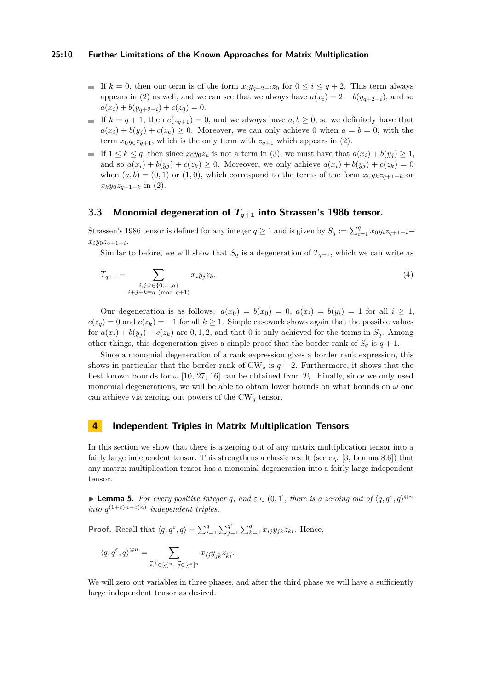#### **25:10 Further Limitations of the Known Approaches for Matrix Multiplication**

- If  $k = 0$ , then our term is of the form  $x_i y_{q+2-i} z_0$  for  $0 \le i \le q+2$ . This term always appears in [\(2\)](#page-8-2) as well, and we can see that we always have  $a(x_i) = 2 - b(y_{q+2-i})$ , and so  $a(x_i) + b(y_{a+2-i}) + c(z_0) = 0.$
- If  $k = q + 1$ , then  $c(z_{q+1}) = 0$ , and we always have  $a, b \ge 0$ , so we definitely have that  $a(x_i) + b(y_i) + c(z_k) \geq 0$ . Moreover, we can only achieve 0 when  $a = b = 0$ , with the term  $x_0y_0z_{q+1}$ , which is the only term with  $z_{q+1}$  which appears in [\(2\)](#page-8-2).
- If  $1 \leq k \leq q$ , then since  $x_0y_0z_k$  is not a term in [\(3\)](#page-8-1), we must have that  $a(x_i) + b(y_j) \geq 1$ , and so  $a(x_i) + b(y_i) + c(z_k) \geq 0$ . Moreover, we only achieve  $a(x_i) + b(y_i) + c(z_k) = 0$ when  $(a, b) = (0, 1)$  or  $(1, 0)$ , which correspond to the terms of the form  $x_0 y_k z_{q+1-k}$  or  $x_k y_0 z_{q+1-k}$  in [\(2\)](#page-8-2).

## **3.3 Monomial degeneration of** *Tq***+1 into Strassen's 1986 tensor.**

Strassen's 1986 tensor is defined for any integer  $q \ge 1$  and is given by  $S_q := \sum_{i=1}^q x_0 y_i z_{q+1-i} +$ *xiy*0*zq*+1−*<sup>i</sup>* .

Similar to before, we will show that  $S_q$  is a degeneration of  $T_{q+1}$ , which we can write as

$$
T_{q+1} = \sum_{\substack{i,j,k \in \{0,\ldots,q\} \\ i+j+k \equiv q \pmod{q+1}}} x_i y_j z_k.
$$
 (4)

Our degeneration is as follows:  $a(x_0) = b(x_0) = 0$ ,  $a(x_i) = b(y_i) = 1$  for all  $i \ge 1$ ,  $c(z_q) = 0$  and  $c(z_k) = -1$  for all  $k \geq 1$ . Simple casework shows again that the possible values for  $a(x_i) + b(y_j) + c(z_k)$  are 0, 1, 2, and that 0 is only achieved for the terms in  $S_q$ . Among other things, this degeneration gives a simple proof that the border rank of  $S_q$  is  $q + 1$ .

Since a monomial degeneration of a rank expression gives a border rank expression, this shows in particular that the border rank of  $CW_q$  is  $q + 2$ . Furthermore, it shows that the best known bounds for  $\omega$  [\[10,](#page-13-4) [27,](#page-14-4) [16\]](#page-13-6) can be obtained from  $T_7$ . Finally, since we only used monomial degenerations, we will be able to obtain lower bounds on what bounds on  $\omega$  one can achieve via zeroing out powers of the  $CW_q$  tensor.

## <span id="page-9-0"></span>**4 Independent Triples in Matrix Multiplication Tensors**

In this section we show that there is a zeroing out of any matrix multiplication tensor into a fairly large independent tensor. This strengthens a classic result (see eg. [\[3,](#page-13-11) Lemma 8.6]) that any matrix multiplication tensor has a monomial degeneration into a fairly large independent tensor.

<span id="page-9-1"></span>**Example 5.** For every positive integer q, and  $\varepsilon \in (0,1]$ , there is a zeroing out of  $\langle q, q^{\varepsilon}, q \rangle^{\otimes n}$ *into*  $q^{(1+\varepsilon)n-o(n)}$  *independent triples.* 

**Proof.** Recall that  $\langle q, q^{\varepsilon}, q \rangle = \sum_{i=1}^{q} \sum_{j=1}^{q^{\varepsilon}}$  $q^{\varepsilon}_{j=1} \sum_{k=1}^{q} x_{ij} y_{jk} z_{ki}$ . Hence,

$$
\langle q, q^{\varepsilon}, q \rangle^{\otimes n} = \sum_{\vec{i}, \vec{k} \in [q]^n, \ \vec{j} \in [q^{\varepsilon}]^n} x_{\vec{ij}} y_{\vec{j}\vec{k}} z_{\vec{k}\vec{i}}.
$$

We will zero out variables in three phases, and after the third phase we will have a sufficiently large independent tensor as desired.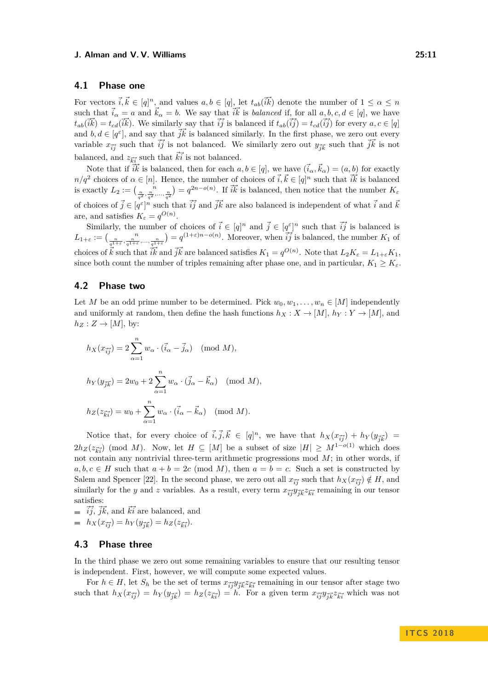## **4.1 Phase one**

For vectors  $\vec{i}, \vec{k} \in [q]^n$ , and values  $a, b \in [q]$ , let  $t_{ab}(\vec{i}\vec{k})$  denote the number of  $1 \leq \alpha \leq n$ such that  $\vec{i}_{\alpha} = a$  and  $\vec{k}_{\alpha} = b$ . We say that  $\vec{i}\vec{k}$  is *balanced* if, for all  $a, b, c, d \in [q]$ , we have  $t_{ab}(\vec{ik}) = t_{cd}(\vec{ik})$ . We similarly say that  $\vec{ij}$  is balanced if  $t_{ab}(\vec{ij}) = t_{cd}(\vec{ij})$  for every  $a, c \in [q]$ and  $b, d \in [q^{\varepsilon}]$ , and say that  $\vec{jk}$  is balanced similarly. In the first phase, we zero out every variable  $x_{\vec{i}\vec{j}}$  such that  $\vec{i}\vec{j}$  is not balanced. We similarly zero out  $y_{\vec{j}\vec{k}}$  such that  $\vec{j}\vec{k}$  is not balanced, and  $z_{\vec{k}i}$  such that  $\vec{k}i$  is not balanced.

Note that if  $\vec{ik}$  is balanced, then for each  $a, b \in [q]$ , we have  $(\vec{i}_{\alpha}, \vec{k}_{\alpha}) = (a, b)$  for exactly  $n/q^2$  choices of  $\alpha \in [n]$ . Hence, the number of choices of  $\vec{i}, \vec{k} \in [q]^n$  such that  $\vec{i}\vec{k}$  is balanced is exactly  $L_2 := \binom{n}{\frac{n}{q^2}, \frac{n}{q^2}, \dots, \frac{n}{q^2}} = q^{2n - o(n)}$ . If  $\tilde{i}\tilde{k}$  is balanced, then notice that the number  $K_{\varepsilon}$ of choices of  $\vec{j} \in [q^{\varepsilon}]^n$  such that  $\vec{ij}$  and  $\vec{j}\vec{k}$  are also balanced is independent of what  $\vec{i}$  and  $\vec{k}$ are, and satisfies  $K_{\varepsilon} = q^{O(n)}$ .

Similarly, the number of choices of  $\vec{i} \in [q]^n$  and  $\vec{j} \in [q^{\varepsilon}]^n$  such that  $\vec{ij}$  is balanced is  $L_{1+\varepsilon} := \left(\frac{n}{q^{1+\varepsilon}}, \frac{n}{q^{1+\varepsilon}}, \dots, \frac{n}{q^{1+\varepsilon}}\right) = q^{(1+\varepsilon)n - o(n)}$ . Moreover, when  $\overrightarrow{ij}$  is balanced, the number  $K_1$  of choices of  $\vec{k}$  such that  $\vec{i}\vec{k}$  and  $\vec{j}\vec{k}$  are balanced satisfies  $K_1 = q^{O(n)}$ . Note that  $L_2K_\varepsilon = L_{1+\varepsilon}K_1$ , since both count the number of triples remaining after phase one, and in particular,  $K_1 \geq K_{\varepsilon}$ .

## **4.2 Phase two**

Let *M* be an odd prime number to be determined. Pick  $w_0, w_1, \ldots, w_n \in [M]$  independently and uniformly at random, then define the hash functions  $h_X: X \to [M], h_Y: Y \to [M]$ , and  $h_Z: Z \to [M], \text{ by:}$ 

$$
h_X(x_{\vec{i}\vec{j}}) = 2\sum_{\alpha=1}^n w_\alpha \cdot (\vec{i}_\alpha - \vec{j}_\alpha) \pmod{M},
$$
  

$$
h_Y(y_{\vec{j}\vec{k}}) = 2w_0 + 2\sum_{\alpha=1}^n w_\alpha \cdot (\vec{j}_\alpha - \vec{k}_\alpha) \pmod{M},
$$
  

$$
h_Z(z_{\vec{k}\vec{i}}) = w_0 + \sum_{\alpha=1}^n w_\alpha \cdot (\vec{i}_\alpha - \vec{k}_\alpha) \pmod{M}.
$$

Notice that, for every choice of  $\vec{i}, \vec{j}, \vec{k} \in [q]^n$ , we have that  $h_X(x_{\vec{i}\vec{j}}) + h_Y(y_{\vec{j}\vec{k}}) =$  $2h_Z(z_{\vec{k}\vec{i}})$  (mod *M*). Now, let  $H \subseteq [M]$  be a subset of size  $|H| \geq M^{1-o(1)}$  which does not contain any nontrivial three-term arithmetic progressions mod *M*; in other words, if  $a, b, c \in H$  such that  $a + b = 2c \pmod{M}$ , then  $a = b = c$ . Such a set is constructed by Salem and Spencer [\[22\]](#page-14-8). In the second phase, we zero out all  $x_{\vec{i}\vec{j}}$  such that  $h_X(x_{\vec{i}\vec{j}}) \notin H$ , and similarly for the *y* and *z* variables. As a result, every term  $x_{\vec{i}\vec{j}}y_{\vec{j}\vec{k}}z_{\vec{k}\vec{i}}$  remaining in our tensor satisfies:

 $\vec{i}$ ,  $\vec{j}$ ,  $\vec{k}$ , and  $\vec{k}$  are balanced, and  $h_X(x_{\vec{i}\vec{j}}) = h_Y(y_{\vec{j}\vec{k}}) = h_Z(z_{\vec{k}\vec{i}}).$ 

## **4.3 Phase three**

In the third phase we zero out some remaining variables to ensure that our resulting tensor is independent. First, however, we will compute some expected values.

For  $h \in H$ , let  $S_h$  be the set of terms  $x_{\vec{i}\vec{j}}y_{\vec{j}\vec{k}}z_{\vec{k}i}$  remaining in our tensor after stage two such that  $h_X(x_{\vec{i}\vec{j}}) = h_Y(y_{\vec{j}\vec{k}}) = h_Z(z_{\vec{k}\vec{i}}) = h$ . For a given term  $x_{\vec{i}\vec{j}}y_{\vec{j}\vec{k}}z_{\vec{k}\vec{i}}$  which was not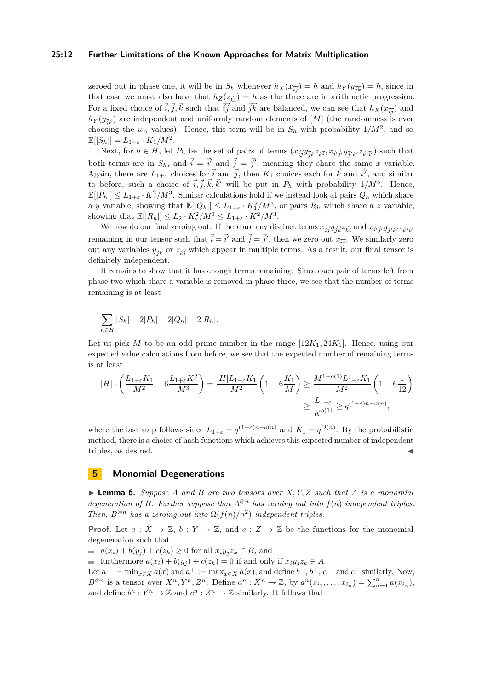#### **25:12 Further Limitations of the Known Approaches for Matrix Multiplication**

zeroed out in phase one, it will be in  $S_h$  whenever  $h_X(x_{\vec{i}\vec{j}}) = h$  and  $h_Y(y_{\vec{j}\vec{k}}) = h$ , since in that case we must also have that  $h_Z(z_{\vec{k}i}) = h$  as the three are in arithmetic progression. For a fixed choice of  $\vec{i}, \vec{j}, \vec{k}$  such that  $\vec{ij}$  and  $\vec{jk}$  are balanced, we can see that  $h_X(x_{\vec{ij}})$  and  $h_Y(y_{\vec{jk}})$  are independent and uniformly random elements of  $[M]$  (the randomness is over choosing the  $w_\alpha$  values). Hence, this term will be in  $S_h$  with probability  $1/M^2$ , and so  $\mathbb{E}[|S_h|] = L_{1+\varepsilon} \cdot K_1/M^2.$ 

Next, for  $h \in H$ , let  $P_h$  be the set of pairs of terms  $(x_{\vec{i}\vec{j}}y_{\vec{j}\vec{k}}z_{\vec{k}\vec{i}}, x_{\vec{i}'\vec{j}'}y_{\vec{j}'\vec{k}}z_{\vec{k}'\vec{i}'}z_{\vec{k}'}z_{\vec{k}'}$  such that both terms are in  $S_h$ , and  $\vec{i} = \vec{i}'$  and  $\vec{j} = \vec{j}'$ , meaning they share the same *x* variable. Again, there are  $L_{1+\varepsilon}$  choices for  $\vec{i}$  and  $\vec{j}$ , then  $K_1$  choices each for  $\vec{k}$  and  $\vec{k}'$ , and similar to before, such a choice of  $\vec{i}, \vec{j}, \vec{k}, \vec{k}'$  will be put in  $P_h$  with probability  $1/M^3$ . Hence,  $\mathbb{E}[|P_h|] \leq L_{1+\varepsilon} \cdot K_1^2/M^3$ . Similar calculations hold if we instead look at pairs  $Q_h$  which share a *y* variable, showing that  $\mathbb{E}[|Q_h|] \leq L_{1+\varepsilon} \cdot K_1^2/M^3$ , or pairs  $R_h$  which share a *z* variable, showing that  $\mathbb{E}[|R_h|] \leq L_2 \cdot K_\varepsilon^2 / M^3 \leq L_{1+\varepsilon} \cdot K_1^2 / M^3$ .

We now do our final zeroing out. If there are any distinct terms  $x_{\vec{i}\vec{j}}y_{\vec{j}\vec{k}}z_{\vec{k}\vec{i}}$  and  $x_{\vec{i}'\vec{j}'}y_{\vec{j}'\vec{k}}z_{\vec{k'}\vec{i}}$ remaining in our tensor such that  $\vec{i} = \vec{i}'$  and  $\vec{j} = \vec{j}'$ , then we zero out  $x_{\vec{i}\vec{j}}$ . We similarly zero out any variables  $y_{\vec{j}\vec{k}}$  or  $z_{\vec{k}i}$  which appear in multiple terms. As a result, our final tensor is definitely independent.

It remains to show that it has enough terms remaining. Since each pair of terms left from phase two which share a variable is removed in phase three, we see that the number of terms remaining is at least

$$
\sum_{h\in H} |S_h| - 2|P_h| - 2|Q_h| - 2|R_h|.
$$

Let us pick *M* to be an odd prime number in the range  $[12K_1, 24K_1]$ . Hence, using our expected value calculations from before, we see that the expected number of remaining terms is at least

$$
\begin{split} |H| \cdot \left( \frac{L_{1+\varepsilon} K_1}{M^2} - 6 \frac{L_{1+\varepsilon} K_1^2}{M^3} \right) = \frac{|H| L_{1+\varepsilon} K_1}{M^2} \left( 1 - 6 \frac{K_1}{M} \right) \ge \frac{M^{1-o(1)} L_{1+\varepsilon} K_1}{M^2} \left( 1 - 6 \frac{1}{12} \right) \\ &\ge \frac{L_{1+\varepsilon}}{K_1^{o(1)}} \ge q^{(1+\varepsilon)n-o(n)}, \end{split}
$$

where the last step follows since  $L_{1+\varepsilon} = q^{(1+\varepsilon)n-o(n)}$  and  $K_1 = q^{O(n)}$ . By the probabilistic method, there is a choice of hash functions which achieves this expected number of independent triples, as desired.

## <span id="page-11-0"></span>**5 Monomial Degenerations**

<span id="page-11-1"></span> $\triangleright$  **Lemma 6.** *Suppose A* and *B* are two tensors over *X,Y,Z* such that *A* is a monomial *degeneration of B. Further suppose that*  $A^{\otimes n}$  *has zeroing out into*  $f(n)$  *independent triples. Then,*  $B^{\otimes n}$  *has a zeroing out into*  $\Omega(f(n)/n^2)$  *independent triples.* 

**Proof.** Let  $a: X \to \mathbb{Z}$ ,  $b: Y \to \mathbb{Z}$ , and  $c: Z \to \mathbb{Z}$  be the functions for the monomial degeneration such that

 $a(x_i) + b(y_i) + c(z_k) \geq 0$  for all  $x_i y_j z_k \in B$ , and

■ furthermore  $a(x_i) + b(y_j) + c(z_k) = 0$  if and only if  $x_i y_j z_k \in A$ .

Let  $a^- := \min_{x \in X} a(x)$  and  $a^+ := \max_{x \in X} a(x)$ , and define  $b^-$ ,  $b^+$ ,  $c^-$ , and  $c^+$  similarly. Now,  $B^{\otimes n}$  is a tensor over  $X^n, Y^n, Z^n$ . Define  $a^n : X^n \to \mathbb{Z}$ , by  $a^n(x_{i_1}, \ldots, x_{i_n}) = \sum_{\alpha=1}^n a(x_{i_\alpha})$ , and define  $b^n : Y^n \to \mathbb{Z}$  and  $c^n : Z^n \to \mathbb{Z}$  similarly. It follows that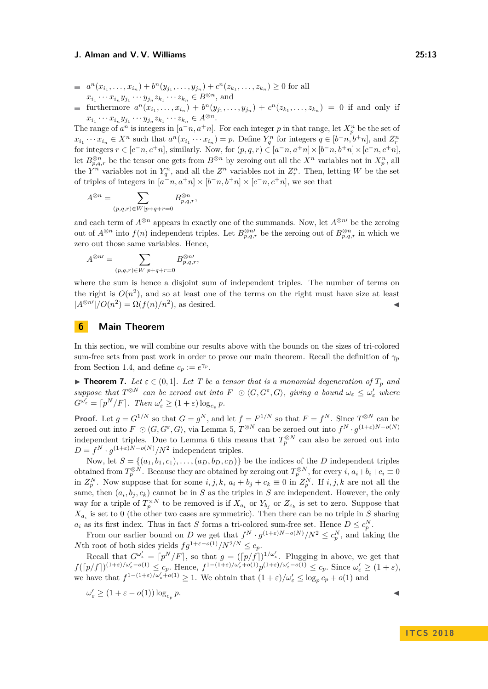- $a^{n}(x_{i_1},...,x_{i_n})+b^{n}(y_{j_1},...,y_{j_n})+c^{n}(z_{k_1},...,z_{k_n})\geq 0$  for all  $x_{i_1} \cdots x_{i_n} y_{j_1} \cdots y_{j_n} z_{k_1} \cdots z_{k_n} \in B^{\otimes n}$ , and
- furthermore  $a^{n}(x_{i_1},...,x_{i_n}) + b^{n}(y_{j_1},...,y_{j_n}) + c^{n}(z_{k_1},...,z_{k_n}) = 0$  if and only if  $x_{i_1} \cdots x_{i_n} y_{j_1} \cdots y_{j_n} z_{k_1} \cdots z_{k_n} \in A^{\otimes n}$ .

The range of  $a^n$  is integers in  $[a^-n, a^+n]$ . For each integer *p* in that range, let  $X_p^n$  be the set of  $x_{i_1}\cdots x_{i_n}\in X^n$  such that  $a^n(x_{i_1}\cdots x_{i_n})=p$ . Define  $Y_q^n$  for integers  $q\in[b^-n,b^+n]$ , and  $Z_r^n$ for integers  $r \in [c^-, n, c^+n]$ , similarly. Now, for  $(p, q, r) \in [a^-, n, a^+n] \times [b^-, n, b^+n] \times [c^-, n, c^+n]$ , let  $B_{p,q,r}^{\otimes n}$  be the tensor one gets from  $B^{\otimes n}$  by zeroing out all the  $X^n$  variables not in  $X_p^n$ , all the  $Y^n$  variables not in  $Y_q^n$ , and all the  $Z^n$  variables not in  $Z_r^n$ . Then, letting *W* be the set of triples of integers in  $[a^{\text{-}}n, a^{\text{+}}n] \times [b^{\text{-}}n, b^{\text{+}}n] \times [c^{\text{-}}n, c^{\text{+}}n]$ , we see that

$$
A^{\otimes n} = \sum_{(p,q,r)\in W\mid p+q+r=0} B^{\otimes n}_{p,q,r},
$$

and each term of  $A^{\otimes n}$  appears in exactly one of the summands. Now, let  $A^{\otimes n}$  be the zeroing out of  $A^{\otimes n}$  into  $f(n)$  independent triples. Let  $B^{\otimes n}_{p,q,r}$  be the zeroing out of  $B^{\otimes n}_{p,q,r}$  in which we zero out those same variables. Hence,

$$
A^{\otimes n\prime}=\sum_{(p,q,r)\in W|p+q+r=0}B_{p,q,r}^{\otimes n\prime},
$$

where the sum is hence a disjoint sum of independent triples. The number of terms on the right is  $O(n^2)$ , and so at least one of the terms on the right must have size at least  $|A^{\otimes n'}|/O(n^2) = \Omega(f(n)/n^2)$ , as desired.

## <span id="page-12-1"></span>**6 Main Theorem**

In this section, we will combine our results above with the bounds on the sizes of tri-colored sum-free sets from past work in order to prove our main theorem. Recall the definition of  $\gamma_p$ from Section [1.4,](#page-3-1) and define  $c_p := e^{\gamma_p}$ .

<span id="page-12-0"></span>**Findmark 7.** Let  $\varepsilon \in (0,1]$ . Let T be a tensor that is a monomial degeneration of  $T_p$  and  $suppose that T^{\otimes N}$  *can be zeroed out into*  $F \odot \langle G, G^{\varepsilon}, G \rangle$ , giving a bound  $\omega_{\varepsilon} \leq \omega_{\varepsilon}'$  where  $G^{\omega'_{\varepsilon}} = \lceil p^N/F \rceil$ *. Then*  $\omega'_{\varepsilon} \geq (1+\varepsilon) \log_{c_p} p$ *.* 

**Proof.** Let  $g = G^{1/N}$  so that  $G = g^N$ , and let  $f = F^{1/N}$  so that  $F = f^N$ . Since  $T^{\otimes N}$  can be zeroed out into  $F \n\odot \langle G, G^{\varepsilon}, G \rangle$ , via Lemma [5,](#page-9-1)  $T^{\otimes N}$  can be zeroed out into  $f^{N} \cdot g^{(1+\varepsilon)N-o(N)}$ independent triples. Due to Lemma [6](#page-11-1) this means that  $T_p^{\otimes N}$  can also be zeroed out into  $D = f^N \cdot g^{(1+\varepsilon)N-o(N)}/N^2$  independent triples.

Now, let  $S = \{(a_1, b_1, c_1), \ldots, (a_D, b_D, c_D)\}$  be the indices of the *D* independent triples obtained from  $T_p^{\otimes N}$ . Because they are obtained by zeroing out  $T_p^{\otimes N}$ , for every *i*,  $a_i+b_i+c_i\equiv 0$ in  $Z_p^N$ . Now suppose that for some  $i, j, k, a_i + b_j + c_k \equiv 0$  in  $Z_p^N$ . If  $i, j, k$  are not all the same, then  $(a_i, b_j, c_k)$  cannot be in *S* as the triples in *S* are independent. However, the only way for a triple of  $T_p^{\times N}$  to be removed is if  $X_{a_i}$  or  $Y_{b_j}$  or  $Z_{c_k}$  is set to zero. Suppose that  $X_{a_i}$  is set to 0 (the other two cases are symmetric). Then there can be no triple in *S* sharing  $a_i$  as its first index. Thus in fact *S* forms a tri-colored sum-free set. Hence  $D \leq c_p^N$ . *p*

From our earlier bound on *D* we get that  $f^N \cdot g^{(1+\varepsilon)N-o(N)}/N^2 \le c_p^N$ , and taking the *N*th root of both sides yields  $fg^{1+\varepsilon-o(1)}/N^{2/N} \leq c_p$ .

Recall that  $G^{\omega'_{\varepsilon}} = [p^N/F]$ , so that  $g = ([p/f])^{1/\omega'_{\varepsilon}}$ . Plugging in above, we get that  $f([p/f])^{(1+\varepsilon)/\omega'_{\varepsilon}-o(1)} \leq c_p$ . Hence,  $f^{1-(1+\varepsilon)/\omega'_{\varepsilon}+o(1)}p^{(1+\varepsilon)/\omega'_{\varepsilon}-o(1)} \leq c_p$ . Since  $\omega'_{\varepsilon} \geq (1+\varepsilon)$ , we have that  $f^{1-(1+\varepsilon)/\omega_{\varepsilon}'+o(1)} \geq 1$ . We obtain that  $(1+\varepsilon)/\omega_{\varepsilon}' \leq \log_p c_p + o(1)$  and

$$
\omega_{\varepsilon}' \ge (1 + \varepsilon - o(1)) \log_{c_p} p.
$$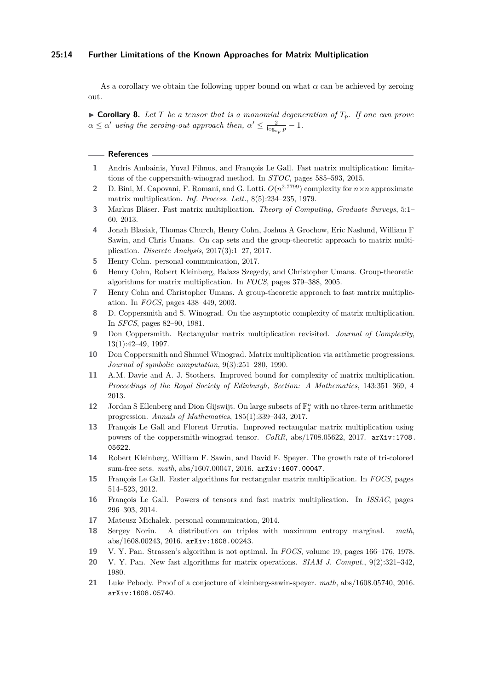#### **25:14 Further Limitations of the Known Approaches for Matrix Multiplication**

As a corollary we obtain the following upper bound on what *α* can be achieved by zeroing out.

 $\triangleright$  **Corollary 8.** Let T be a tensor that is a monomial degeneration of  $T_p$ . If one can prove  $\alpha \leq \alpha'$  *using the zeroing-out approach then,*  $\alpha' \leq \frac{2}{\log_{cp} p} - 1$ *.* 

#### **References**

- <span id="page-13-17"></span>**1** Andris Ambainis, Yuval Filmus, and François Le Gall. Fast matrix multiplication: limitations of the coppersmith-winograd method. In *STOC*, pages 585–593, 2015.
- <span id="page-13-2"></span>**2** D. Bini, M. Capovani, F. Romani, and G. Lotti.  $O(n^{2.7799})$  complexity for  $n \times n$  approximate matrix multiplication. *Inf. Process. Lett.*, 8(5):234–235, 1979.
- <span id="page-13-11"></span>**3** Markus Bläser. Fast matrix multiplication. *Theory of Computing, Graduate Surveys*, 5:1– 60, 2013.
- <span id="page-13-14"></span>**4** Jonah Blasiak, Thomas Church, Henry Cohn, Joshua A Grochow, Eric Naslund, William F Sawin, and Chris Umans. On cap sets and the group-theoretic approach to matrix multiplication. *Discrete Analysis*, 2017(3):1–27, 2017.
- <span id="page-13-20"></span>**5** Henry Cohn. personal communication, 2017.
- <span id="page-13-19"></span>**6** Henry Cohn, Robert Kleinberg, Balazs Szegedy, and Christopher Umans. Group-theoretic algorithms for matrix multiplication. In *FOCS*, pages 379–388, 2005.
- <span id="page-13-18"></span>**7** Henry Cohn and Christopher Umans. A group-theoretic approach to fast matrix multiplication. In *FOCS*, pages 438–449, 2003.
- <span id="page-13-3"></span>**8** D. Coppersmith and S. Winograd. On the asymptotic complexity of matrix multiplication. In *SFCS*, pages 82–90, 1981.
- <span id="page-13-7"></span>**9** Don Coppersmith. Rectangular matrix multiplication revisited. *Journal of Complexity*, 13(1):42–49, 1997.
- <span id="page-13-4"></span>**10** Don Coppersmith and Shmuel Winograd. Matrix multiplication via arithmetic progressions. *Journal of symbolic computation*, 9(3):251–280, 1990.
- <span id="page-13-5"></span>**11** A.M. Davie and A. J. Stothers. Improved bound for complexity of matrix multiplication. *Proceedings of the Royal Society of Edinburgh, Section: A Mathematics*, 143:351–369, 4 2013.
- <span id="page-13-12"></span>**12** Jordan S Ellenberg and Dion Gijswijt. On large subsets of  $\mathbb{F}_q^n$  with no three-term arithmetic progression. *Annals of Mathematics*, 185(1):339–343, 2017.
- <span id="page-13-9"></span>**13** François Le Gall and Florent Urrutia. Improved rectangular matrix multiplication using powers of the coppersmith-winograd tensor. *CoRR*, abs/1708.05622, 2017. [arXiv:1708.](http://arxiv.org/abs/1708.05622) [05622](http://arxiv.org/abs/1708.05622).
- <span id="page-13-13"></span>**14** Robert Kleinberg, William F. Sawin, and David E. Speyer. The growth rate of tri-colored sum-free sets. *math*, abs/1607.00047, 2016. [arXiv:1607.00047](http://arxiv.org/abs/1607.00047).
- <span id="page-13-8"></span>**15** François Le Gall. Faster algorithms for rectangular matrix multiplication. In *FOCS*, pages 514–523, 2012.
- <span id="page-13-6"></span>**16** François Le Gall. Powers of tensors and fast matrix multiplication. In *ISSAC*, pages 296–303, 2014.
- <span id="page-13-10"></span>**17** Mateusz Michalek. personal communication, 2014.
- <span id="page-13-15"></span>**18** Sergey Norin. A distribution on triples with maximum entropy marginal. *math*, abs/1608.00243, 2016. [arXiv:1608.00243](http://arxiv.org/abs/1608.00243).
- <span id="page-13-0"></span>**19** V. Y. Pan. Strassen's algorithm is not optimal. In *FOCS*, volume 19, pages 166–176, 1978.
- <span id="page-13-1"></span>**20** V. Y. Pan. New fast algorithms for matrix operations. *SIAM J. Comput.*, 9(2):321–342, 1980.
- <span id="page-13-16"></span>**21** Luke Pebody. Proof of a conjecture of kleinberg-sawin-speyer. *math*, abs/1608.05740, 2016. [arXiv:1608.05740](http://arxiv.org/abs/1608.05740).